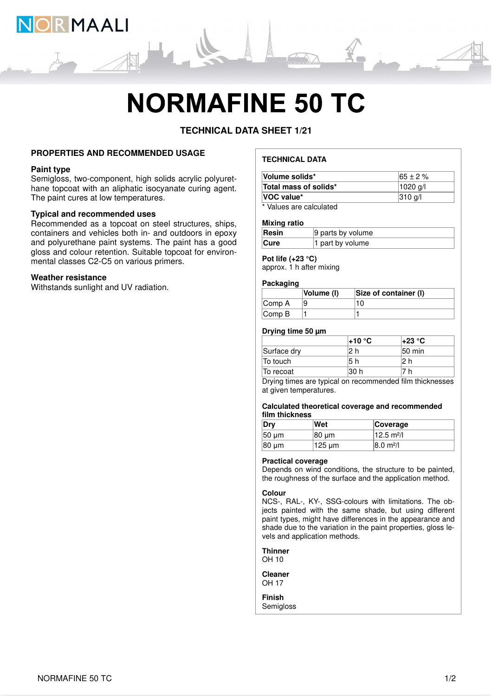

# **NORMAFINE 50 TC**

**TECHNICAL DATA SHEET 1/21**

### **PROPERTIES AND RECOMMENDED USAGE**

#### **Paint type**

Semigloss, two-component, high solids acrylic polyurethane topcoat with an aliphatic isocyanate curing agent. The paint cures at low temperatures.

# **Typical and recommended uses**

Recommended as a topcoat on steel structures, ships, containers and vehicles both in- and outdoors in epoxy and polyurethane paint systems. The paint has a good gloss and colour retention. Suitable topcoat for environmental classes C2-C5 on various primers.

#### **Weather resistance**

Withstands sunlight and UV radiation.

# **TECHNICAL DATA**

| Volume solids*                | $165 \pm 2 \%$ |
|-------------------------------|----------------|
| Total mass of solids*         | 1020 g/l       |
| VOC value*                    | 310 g/l        |
| * Malera a and a alardiate di |                |

Values are calculated

#### **Mixing ratio**

| Resin       | 9 parts by volume |
|-------------|-------------------|
| <b>Cure</b> | 1 part by volume  |

# **Pot life (+23 °C)**

approx. 1 h after mixing

#### **Packaging**

|                             | Volume (I) | Size of container (I) |
|-----------------------------|------------|-----------------------|
| $\mathsf{Comp}\,A$          |            | 10 I                  |
| $\mathsf{Comp}\,\mathsf{B}$ |            |                       |

#### **Drying time 50 µm**

|             | l+10 °C | l+23 °C |
|-------------|---------|---------|
| Surface dry |         | 50 min  |
| To touch    | 5 h     |         |
| To recoat   | 30 h    | h       |

Drying times are typical on recommended film thicknesses at given temperatures.

#### **Calculated theoretical coverage and recommended film thickness**

| Dry         | Wet    | Coverage                     |
|-------------|--------|------------------------------|
| $50 \mu m$  | 80 um  | $12.5 \text{ m}^2$ /l        |
| $ 80 \mu m$ | ำ25 µm | $ 8.0 \text{ m}^2/\text{l} $ |

#### **Practical coverage**

Depends on wind conditions, the structure to be painted, the roughness of the surface and the application method.

#### **Colour**

NCS-, RAL-, KY-, SSG-colours with limitations. The objects painted with the same shade, but using different paint types, might have differences in the appearance and shade due to the variation in the paint properties, gloss levels and application methods.

**Thinner**

OH 10

**Cleaner** OH 17

**Finish** Semigloss